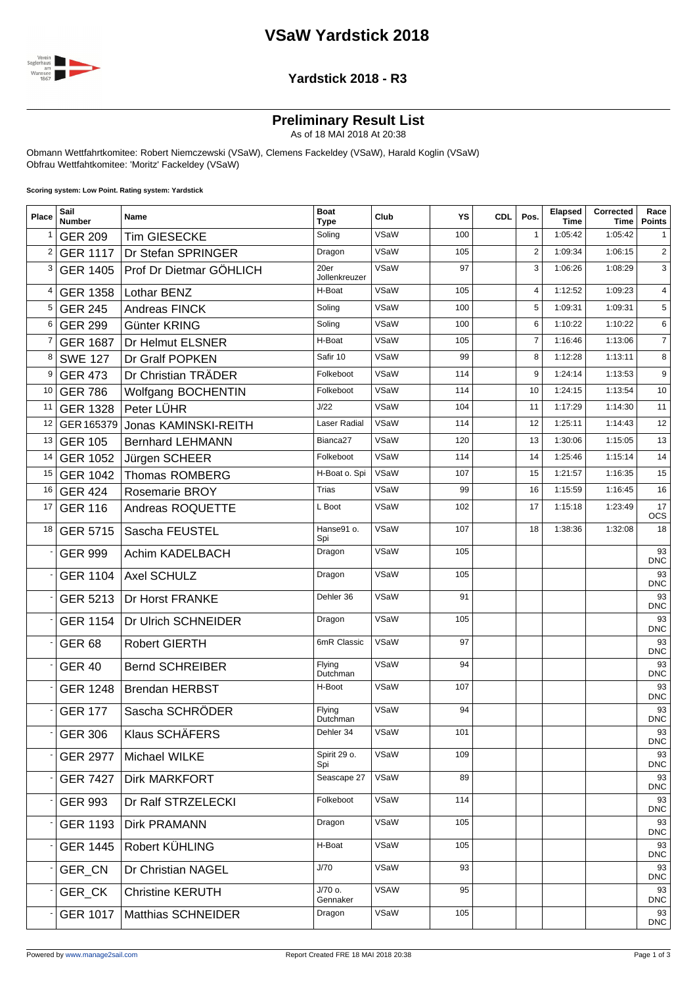## **VSaW Yardstick 2018**



#### **Yardstick 2018 - R3**

#### **Preliminary Result List**

As of 18 MAI 2018 At 20:38

Obmann Wettfahrtkomitee: Robert Niemczewski (VSaW), Clemens Fackeldey (VSaW), Harald Koglin (VSaW) Obfrau Wettfahtkomitee: 'Moritz' Fackeldey (VSaW)

**Scoring system: Low Point. Rating system: Yardstick**

| Place          | Sail<br><b>Number</b> | Name                    | <b>Boat</b><br><b>Type</b> | Club        | YS  | <b>CDL</b> | Pos.            | Elapsed<br><b>Time</b> | Corrected<br>Time | Race<br><b>Points</b> |
|----------------|-----------------------|-------------------------|----------------------------|-------------|-----|------------|-----------------|------------------------|-------------------|-----------------------|
| $\mathbf{1}$   | <b>GER 209</b>        | <b>Tim GIESECKE</b>     | Soling                     | VSaW        | 100 |            | 1               | 1:05:42                | 1:05:42           | 1                     |
| $\overline{2}$ | <b>GER 1117</b>       | Dr Stefan SPRINGER      | Dragon                     | VSaW        | 105 |            | 2               | 1:09:34                | 1:06:15           | $\overline{2}$        |
| 3              | <b>GER 1405</b>       | Prof Dr Dietmar GÖHLICH | 20er<br>Jollenkreuzer      | VSaW        | 97  |            | 3               | 1:06:26                | 1:08:29           | 3                     |
| 4              | <b>GER 1358</b>       | Lothar BENZ             | H-Boat                     | VSaW        | 105 |            | 4               | 1:12:52                | 1:09:23           | $\overline{4}$        |
| 5              | <b>GER 245</b>        | Andreas FINCK           | Soling                     | VSaW        | 100 |            | 5               | 1:09:31                | 1:09:31           | 5                     |
| 6              | <b>GER 299</b>        | Günter KRING            | Soling                     | VSaW        | 100 |            | $6\phantom{1}6$ | 1:10:22                | 1:10:22           | 6                     |
| 7              | <b>GER 1687</b>       | Dr Helmut ELSNER        | H-Boat                     | VSaW        | 105 |            | $\overline{7}$  | 1:16:46                | 1:13:06           | $\overline{7}$        |
| 8              | <b>SWE 127</b>        | Dr Gralf POPKEN         | Safir 10                   | VSaW        | 99  |            | 8               | 1:12:28                | 1:13:11           | 8                     |
| 9              | <b>GER 473</b>        | Dr Christian TRÄDER     | Folkeboot                  | VSaW        | 114 |            | 9               | 1:24:14                | 1:13:53           | 9                     |
| 10             | <b>GER 786</b>        | Wolfgang BOCHENTIN      | Folkeboot                  | VSaW        | 114 |            | 10              | 1:24:15                | 1:13:54           | 10                    |
| 11             | <b>GER 1328</b>       | Peter LÜHR              | J/22                       | VSaW        | 104 |            | 11              | 1:17:29                | 1:14:30           | 11                    |
| 12             | GER 165379            | Jonas KAMINSKI-REITH    | Laser Radial               | VSaW        | 114 |            | 12              | 1:25:11                | 1:14:43           | 12                    |
| 13             | <b>GER 105</b>        | <b>Bernhard LEHMANN</b> | Bianca <sub>27</sub>       | VSaW        | 120 |            | 13              | 1:30:06                | 1:15:05           | 13                    |
| 14             | <b>GER 1052</b>       | Jürgen SCHEER           | Folkeboot                  | VSaW        | 114 |            | 14              | 1:25:46                | 1:15:14           | 14                    |
| 15             | <b>GER 1042</b>       | <b>Thomas ROMBERG</b>   | H-Boat o. Spi              | VSaW        | 107 |            | 15              | 1:21:57                | 1:16:35           | 15                    |
| 16             | <b>GER 424</b>        | Rosemarie BROY          | Trias                      | VSaW        | 99  |            | 16              | 1:15:59                | 1:16:45           | 16                    |
| 17             | <b>GER 116</b>        | Andreas ROQUETTE        | L Boot                     | VSaW        | 102 |            | 17              | 1:15:18                | 1:23:49           | 17<br><b>OCS</b>      |
| 18             | <b>GER 5715</b>       | Sascha FEUSTEL          | Hanse91 o.<br>Spi          | VSaW        | 107 |            | 18              | 1:38:36                | 1:32:08           | 18                    |
|                | <b>GER 999</b>        | Achim KADELBACH         | Dragon                     | VSaW        | 105 |            |                 |                        |                   | 93<br><b>DNC</b>      |
|                | <b>GER 1104</b>       | Axel SCHULZ             | Dragon                     | VSaW        | 105 |            |                 |                        |                   | 93<br><b>DNC</b>      |
|                | GER 5213              | Dr Horst FRANKE         | Dehler 36                  | VSaW        | 91  |            |                 |                        |                   | 93<br><b>DNC</b>      |
|                | <b>GER 1154</b>       | Dr Ulrich SCHNEIDER     | Dragon                     | VSaW        | 105 |            |                 |                        |                   | 93<br><b>DNC</b>      |
|                | <b>GER 68</b>         | <b>Robert GIERTH</b>    | 6mR Classic                | VSaW        | 97  |            |                 |                        |                   | 93<br><b>DNC</b>      |
|                | <b>GER 40</b>         | <b>Bernd SCHREIBER</b>  | Flying<br>Dutchman         | VSaW        | 94  |            |                 |                        |                   | 93<br><b>DNC</b>      |
|                | <b>GER 1248</b>       | <b>Brendan HERBST</b>   | H-Boot                     | VSaW        | 107 |            |                 |                        |                   | 93<br><b>DNC</b>      |
|                | <b>GER 177</b>        | Sascha SCHRÖDER         | Flying<br>Dutchman         | VSaW        | 94  |            |                 |                        |                   | 93<br><b>DNC</b>      |
|                | <b>GER 306</b>        | Klaus SCHÄFERS          | Dehler 34                  | VSaW        | 101 |            |                 |                        |                   | 93<br><b>DNC</b>      |
|                | <b>GER 2977</b>       | Michael WILKE           | Spirit 29 o.<br>Spi        | VSaW        | 109 |            |                 |                        |                   | 93<br><b>DNC</b>      |
|                | <b>GER 7427</b>       | Dirk MARKFORT           | Seascape 27                | VSaW        | 89  |            |                 |                        |                   | 93<br><b>DNC</b>      |
|                | <b>GER 993</b>        | Dr Ralf STRZELECKI      | Folkeboot                  | VSaW        | 114 |            |                 |                        |                   | 93<br><b>DNC</b>      |
|                | <b>GER 1193</b>       | Dirk PRAMANN            | Dragon                     | VSaW        | 105 |            |                 |                        |                   | 93<br><b>DNC</b>      |
|                | <b>GER 1445</b>       | Robert KÜHLING          | H-Boat                     | VSaW        | 105 |            |                 |                        |                   | 93<br><b>DNC</b>      |
|                | GER_CN                | Dr Christian NAGEL      | J/70                       | VSaW        | 93  |            |                 |                        |                   | 93<br><b>DNC</b>      |
|                | GER_CK                | <b>Christine KERUTH</b> | J/70 o.<br>Gennaker        | <b>VSAW</b> | 95  |            |                 |                        |                   | 93<br><b>DNC</b>      |
|                | <b>GER 1017</b>       | Matthias SCHNEIDER      | Dragon                     | VSaW        | 105 |            |                 |                        |                   | 93<br><b>DNC</b>      |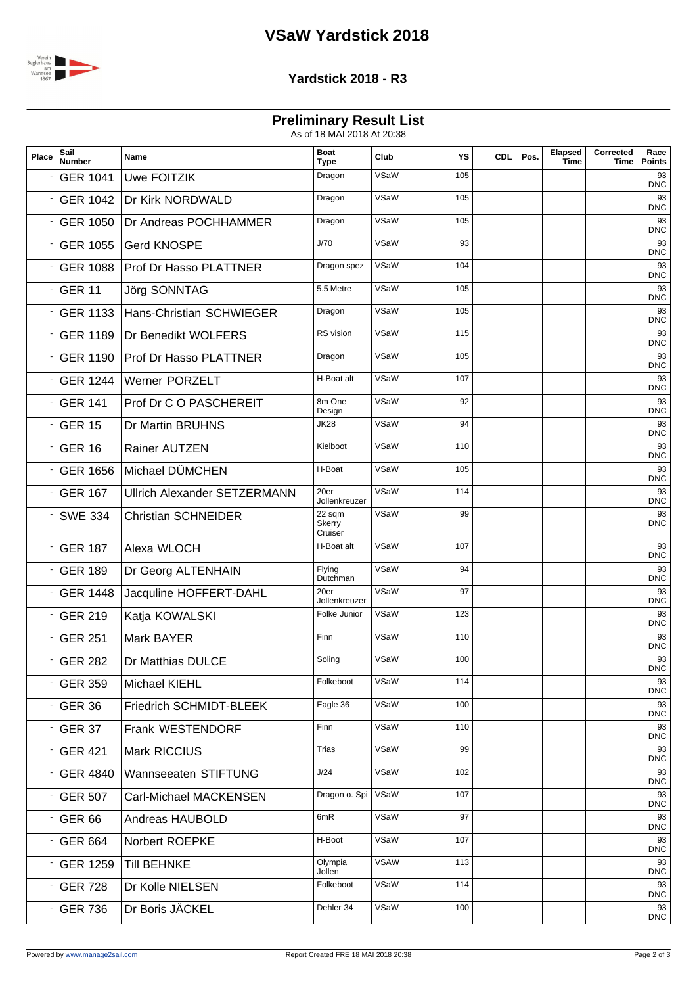# **VSaW Yardstick 2018**



#### **Yardstick 2018 - R3**

### **Preliminary Result List**

As of 18 MAI 2018 At 20:38

| Place | Sail<br><b>Number</b> | Name                                | <b>Boat</b><br>Type         | Club        | YS  | <b>CDL</b> | Pos. | Elapsed<br><b>Time</b> | Corrected<br>Time | Race<br><b>Points</b> |
|-------|-----------------------|-------------------------------------|-----------------------------|-------------|-----|------------|------|------------------------|-------------------|-----------------------|
|       | <b>GER 1041</b>       | <b>Uwe FOITZIK</b>                  | Dragon                      | VSaW        | 105 |            |      |                        |                   | 93<br><b>DNC</b>      |
|       | <b>GER 1042</b>       | Dr Kirk NORDWALD                    | Dragon                      | VSaW        | 105 |            |      |                        |                   | 93<br><b>DNC</b>      |
|       | <b>GER 1050</b>       | Dr Andreas POCHHAMMER               | Dragon                      | VSaW        | 105 |            |      |                        |                   | 93<br><b>DNC</b>      |
|       | <b>GER 1055</b>       | <b>Gerd KNOSPE</b>                  | J/70                        | VSaW        | 93  |            |      |                        |                   | 93<br><b>DNC</b>      |
|       | <b>GER 1088</b>       | <b>Prof Dr Hasso PLATTNER</b>       | Dragon spez                 | VSaW        | 104 |            |      |                        |                   | 93<br><b>DNC</b>      |
|       | <b>GER 11</b>         | <b>Jörg SONNTAG</b>                 | 5.5 Metre                   | VSaW        | 105 |            |      |                        |                   | 93<br><b>DNC</b>      |
|       | <b>GER 1133</b>       | Hans-Christian SCHWIEGER            | Dragon                      | VSaW        | 105 |            |      |                        |                   | 93<br><b>DNC</b>      |
|       | <b>GER 1189</b>       | Dr Benedikt WOLFERS                 | RS vision                   | VSaW        | 115 |            |      |                        |                   | 93<br><b>DNC</b>      |
|       | <b>GER 1190</b>       | <b>Prof Dr Hasso PLATTNER</b>       | Dragon                      | VSaW        | 105 |            |      |                        |                   | 93<br><b>DNC</b>      |
|       | <b>GER 1244</b>       | <b>Werner PORZELT</b>               | H-Boat alt                  | VSaW        | 107 |            |      |                        |                   | 93<br><b>DNC</b>      |
|       | <b>GER 141</b>        | Prof Dr C O PASCHEREIT              | 8m One<br>Design            | VSaW        | 92  |            |      |                        |                   | 93<br><b>DNC</b>      |
|       | <b>GER 15</b>         | Dr Martin BRUHNS                    | <b>JK28</b>                 | VSaW        | 94  |            |      |                        |                   | 93<br><b>DNC</b>      |
|       | <b>GER 16</b>         | Rainer AUTZEN                       | Kielboot                    | <b>VSaW</b> | 110 |            |      |                        |                   | 93<br><b>DNC</b>      |
|       | <b>GER 1656</b>       | Michael DÜMCHEN                     | H-Boat                      | VSaW        | 105 |            |      |                        |                   | 93<br><b>DNC</b>      |
|       | <b>GER 167</b>        | <b>Ullrich Alexander SETZERMANN</b> | 20er<br>Jollenkreuzer       | VSaW        | 114 |            |      |                        |                   | 93<br><b>DNC</b>      |
|       | <b>SWE 334</b>        | <b>Christian SCHNEIDER</b>          | 22 sqm<br>Skerry<br>Cruiser | VSaW        | 99  |            |      |                        |                   | 93<br><b>DNC</b>      |
|       | <b>GER 187</b>        | Alexa WLOCH                         | H-Boat alt                  | VSaW        | 107 |            |      |                        |                   | 93<br><b>DNC</b>      |
|       | <b>GER 189</b>        | Dr Georg ALTENHAIN                  | Flying<br>Dutchman          | VSaW        | 94  |            |      |                        |                   | 93<br><b>DNC</b>      |
|       | <b>GER 1448</b>       | Jacquline HOFFERT-DAHL              | 20er<br>Jollenkreuzer       | VSaW        | 97  |            |      |                        |                   | 93<br><b>DNC</b>      |
|       | <b>GER 219</b>        | Katja KOWALSKI                      | Folke Junior                | VSaW        | 123 |            |      |                        |                   | 93<br><b>DNC</b>      |
|       | <b>GER 251</b>        | Mark BAYER                          | Finn                        | VSaW        | 110 |            |      |                        |                   | 93<br><b>DNC</b>      |
|       | <b>GER 282</b>        | Dr Matthias DULCE                   | Soling                      | VSaW        | 100 |            |      |                        |                   | 93<br><b>DNC</b>      |
|       | <b>GER 359</b>        | Michael KIEHL                       | Folkeboot                   | VSaW        | 114 |            |      |                        |                   | 93<br><b>DNC</b>      |
|       | <b>GER 36</b>         | Friedrich SCHMIDT-BLEEK             | Eagle 36                    | VSaW        | 100 |            |      |                        |                   | 93<br><b>DNC</b>      |
|       | <b>GER 37</b>         | Frank WESTENDORF                    | Finn                        | VSaW        | 110 |            |      |                        |                   | 93<br><b>DNC</b>      |
|       | <b>GER 421</b>        | Mark RICCIUS                        | <b>Trias</b>                | VSaW        | 99  |            |      |                        |                   | 93<br><b>DNC</b>      |
|       | <b>GER 4840</b>       | Wannseeaten STIFTUNG                | J/24                        | VSaW        | 102 |            |      |                        |                   | 93<br><b>DNC</b>      |
|       | <b>GER 507</b>        | Carl-Michael MACKENSEN              | Dragon o. Spi               | VSaW        | 107 |            |      |                        |                   | 93<br><b>DNC</b>      |
|       | <b>GER 66</b>         | Andreas HAUBOLD                     | 6mR                         | VSaW        | 97  |            |      |                        |                   | 93<br><b>DNC</b>      |
|       | <b>GER 664</b>        | Norbert ROEPKE                      | H-Boot                      | VSaW        | 107 |            |      |                        |                   | 93<br><b>DNC</b>      |
|       | <b>GER 1259</b>       | <b>Till BEHNKE</b>                  | Olympia<br>Jollen           | <b>VSAW</b> | 113 |            |      |                        |                   | 93<br><b>DNC</b>      |
|       | <b>GER 728</b>        | Dr Kolle NIELSEN                    | Folkeboot                   | VSaW        | 114 |            |      |                        |                   | 93<br><b>DNC</b>      |
|       | <b>GER 736</b>        | Dr Boris JÄCKEL                     | Dehler 34                   | VSaW        | 100 |            |      |                        |                   | 93<br><b>DNC</b>      |
|       |                       |                                     |                             |             |     |            |      |                        |                   |                       |